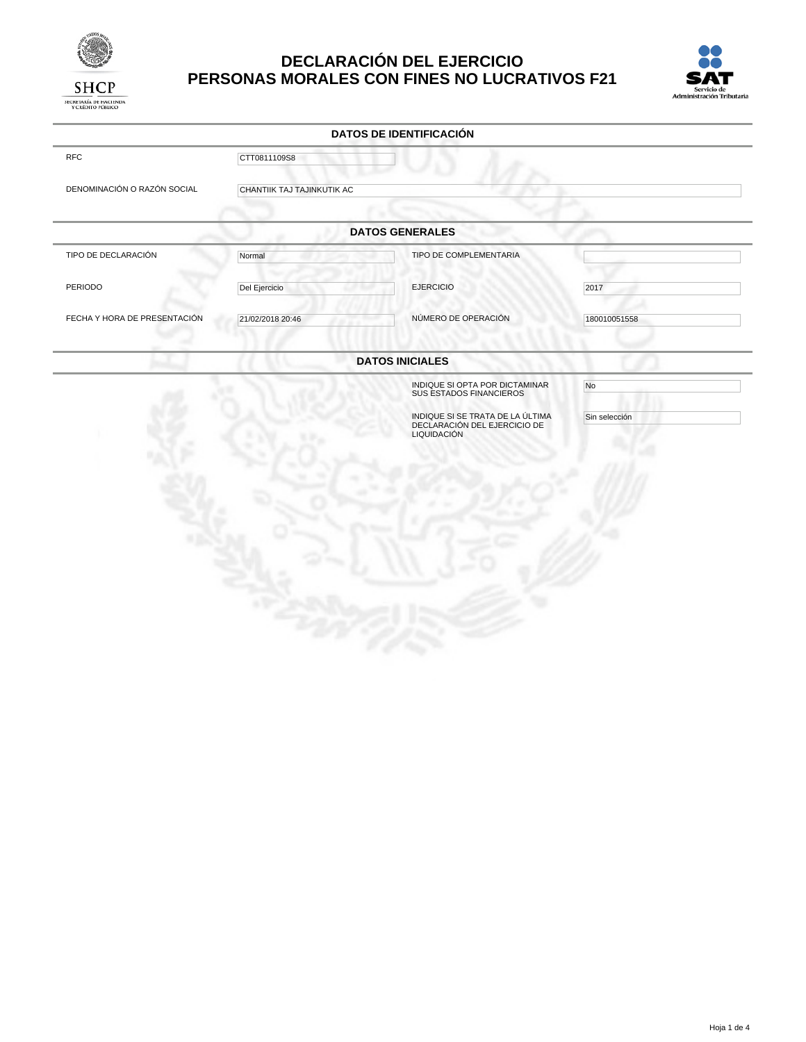

# **DECLARACIÓN DEL EJERCICIO PERSONAS MORALES CON FINES NO LUCRATIVOS F21**



|                              |                            | <b>DATOS DE IDENTIFICACIÓN</b>                                                  |               |  |
|------------------------------|----------------------------|---------------------------------------------------------------------------------|---------------|--|
| <b>RFC</b>                   | CTT0811109S8               |                                                                                 |               |  |
| DENOMINACIÓN O RAZÓN SOCIAL  | CHANTIIK TAJ TAJINKUTIK AC |                                                                                 |               |  |
|                              |                            | <b>DATOS GENERALES</b>                                                          |               |  |
| TIPO DE DECLARACIÓN          | Normal                     | TIPO DE COMPLEMENTARIA                                                          |               |  |
| PERIODO                      | Del Ejercicio              | <b>EJERCICIO</b>                                                                | 2017          |  |
| FECHA Y HORA DE PRESENTACIÓN | 21/02/2018 20:46           | NÚMERO DE OPERACIÓN                                                             | 180010051558  |  |
|                              |                            | <b>DATOS INICIALES</b>                                                          |               |  |
|                              |                            | INDIQUE SI OPTA POR DICTAMINAR<br><b>SUS ESTADOS FINANCIEROS</b>                | No            |  |
|                              |                            | INDIQUE SI SE TRATA DE LA ÚLTIMA<br>DECLARACIÓN DEL EJERCICIO DE<br>LIQUIDACIÓN | Sin selección |  |
|                              |                            |                                                                                 |               |  |
|                              |                            |                                                                                 |               |  |
|                              |                            |                                                                                 |               |  |
|                              |                            |                                                                                 |               |  |
|                              |                            |                                                                                 |               |  |
|                              |                            |                                                                                 |               |  |
|                              |                            |                                                                                 |               |  |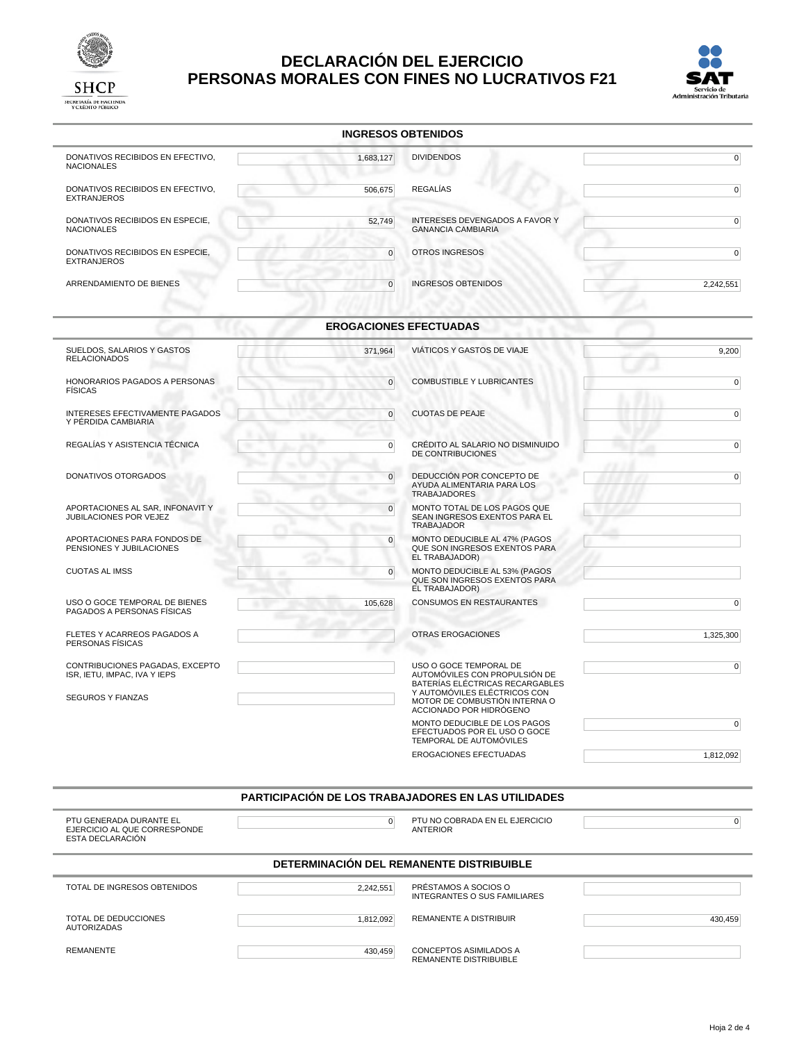

# **DECLARACIÓN DEL EJERCICIO PERSONAS MORALES CON FINES NO LUCRATIVOS F21**



| <b>INGRESOS OBTENIDOS</b>                                                                   |                                              |                                                                                                                                                             |                |
|---------------------------------------------------------------------------------------------|----------------------------------------------|-------------------------------------------------------------------------------------------------------------------------------------------------------------|----------------|
| DONATIVOS RECIBIDOS EN EFECTIVO.<br><b>NACIONALES</b>                                       | 1,683,127                                    | <b>DIVIDENDOS</b>                                                                                                                                           | $\overline{0}$ |
| DONATIVOS RECIBIDOS EN EFECTIVO,<br><b>EXTRANJEROS</b>                                      | 506,675                                      | <b>REGALÍAS</b>                                                                                                                                             | $\overline{0}$ |
| DONATIVOS RECIBIDOS EN ESPECIE,<br><b>NACIONALES</b>                                        | 52,749                                       | <b>INTERESES DEVENGADOS A FAVOR Y</b><br><b>GANANCIA CAMBIARIA</b>                                                                                          | $\overline{0}$ |
| DONATIVOS RECIBIDOS EN ESPECIE,<br><b>EXTRANJEROS</b>                                       | $\overline{0}$                               | OTROS INGRESOS                                                                                                                                              | $\overline{0}$ |
| ARRENDAMIENTO DE BIENES                                                                     | $\overline{0}$                               | <b>INGRESOS OBTENIDOS</b>                                                                                                                                   | 2,242,551      |
|                                                                                             |                                              | <b>EROGACIONES EFECTUADAS</b>                                                                                                                               |                |
| SUELDOS, SALARIOS Y GASTOS<br><b>RELACIONADOS</b>                                           | 371,964                                      | VIÁTICOS Y GASTOS DE VIAJE                                                                                                                                  | 9,200          |
| HONORARIOS PAGADOS A PERSONAS<br><b>FISICAS</b>                                             | $\overline{0}$                               | COMBUSTIBLE Y LUBRICANTES                                                                                                                                   | $\overline{0}$ |
| INTERESES EFECTIVAMENTE PAGADOS<br>Y PÉRDIDA CAMBIARIA                                      | $\overline{0}$                               | <b>CUOTAS DE PEAJE</b>                                                                                                                                      | $\overline{0}$ |
| REGALÍAS Y ASISTENCIA TÉCNICA                                                               | $\overline{0}$<br>$\mathcal{L}^{\text{max}}$ | CRÉDITO AL SALARIO NO DISMINUIDO<br>DE CONTRIBUCIONES                                                                                                       | $\overline{0}$ |
| DONATIVOS OTORGADOS                                                                         | $\overline{0}$<br>٠                          | DEDUCCIÓN POR CONCEPTO DE<br>AYUDA ALIMENTARIA PARA LOS<br><b>TRABAJADORES</b>                                                                              | $\overline{0}$ |
| APORTACIONES AL SAR, INFONAVIT Y<br>JUBILACIONES POR VEJEZ                                  | $\overline{0}$                               | MONTO TOTAL DE LOS PAGOS QUE<br>SEAN INGRESOS EXENTOS PARA EL<br><b>TRABAJADOR</b>                                                                          |                |
| APORTACIONES PARA FONDOS DE<br>PENSIONES Y JUBILACIONES                                     | $\overline{0}$                               | MONTO DEDUCIBLE AL 47% (PAGOS<br>QUE SON INGRESOS EXENTOS PARA<br>EL TRABAJADOR)                                                                            |                |
| <b>CUOTAS AL IMSS</b>                                                                       | $\overline{0}$<br>٠                          | MONTO DEDUCIBLE AL 53% (PAGOS<br>QUE SON INGRESOS EXENTOS PARA<br>EL TRABAJADOR)                                                                            |                |
| USO O GOCE TEMPORAL DE BIENES<br>PAGADOS A PERSONAS FÍSICAS                                 | 105,628                                      | CONSUMOS EN RESTAURANTES                                                                                                                                    | $\pmb{0}$      |
| FLETES Y ACARREOS PAGADOS A<br>PERSONAS FÍSICAS                                             |                                              | <b>OTRAS EROGACIONES</b>                                                                                                                                    | 1,325,300      |
| CONTRIBUCIONES PAGADAS, EXCEPTO<br>ISR, IETU, IMPAC, IVA Y IEPS<br><b>SEGUROS Y FIANZAS</b> |                                              | USO O GOCE TEMPORAL DE<br>AUTOMÓVILES CON PROPULSIÓN DE<br>BATERÍAS ELÉCTRICAS RECARGABLES<br>Y AUTOMÓVILES ELÉCTRICOS CON<br>MOTOR DE COMBUSTIÓN INTERNA O | $\overline{0}$ |
|                                                                                             |                                              | ACCIONADO POR HIDRÓGENO<br>MONTO DEDUCIBLE DE LOS PAGOS<br>EFECTUADOS POR EL USO O GOCE<br>TEMPORAL DE AUTOMÓVILES                                          | $\overline{0}$ |
|                                                                                             |                                              | EROGACIONES EFECTUADAS                                                                                                                                      | 1,812,092      |
|                                                                                             |                                              | PARTICIPACIÓN DE LOS TRABAJADORES EN LAS UTILIDADES                                                                                                         |                |
| PTU GENERADA DURANTE EL<br>EJERCICIO AL QUE CORRESPONDE<br>ESTA DECLARACIÓN                 | $\overline{0}$                               | PTU NO COBRADA EN EL EJERCICIO<br><b>ANTERIOR</b>                                                                                                           | 0              |

#### **DETERMINACIÓN DEL REMANENTE DISTRIBUIBLE**

| TOTAL DE INGRESOS OBTENIDOS         | 2,242,551 | PRÉSTAMOS A SOCIOS O<br>INTEGRANTES O SUS FAMILIARES |         |
|-------------------------------------|-----------|------------------------------------------------------|---------|
| TOTAL DE DEDUCCIONES<br>AUTORIZADAS | 1,812,092 | REMANENTE A DISTRIBUIR                               | 430,459 |
| REMANENTE                           | 430,459   | CONCEPTOS ASIMILADOS A<br>REMANENTE DISTRIBUIBLE     |         |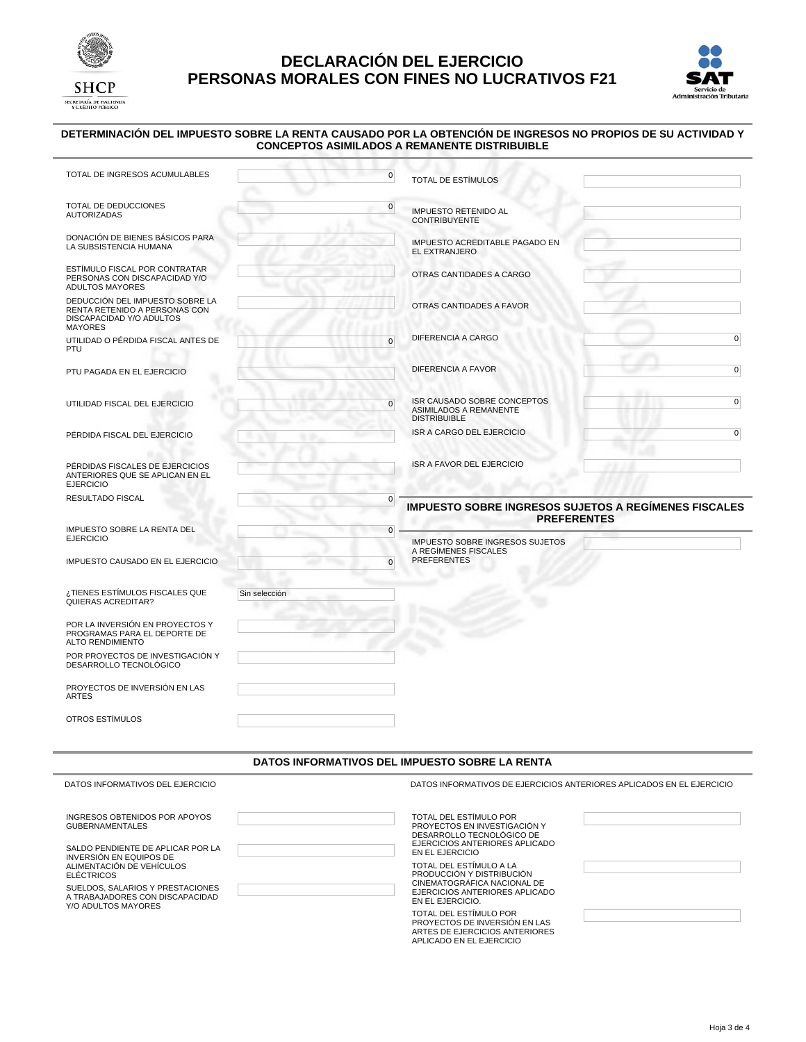

## **DECLARACIÓN DEL EJERCICIO PERSONAS MORALES CON FINES NO LUCRATIVOS F21**



#### **DETERMINACIÓN DEL IMPUESTO SOBRE LA RENTA CAUSADO POR LA OBTENCIÓN DE INGRESOS NO PROPIOS DE SU ACTIVIDAD Y CONCEPTOS ASIMILADOS A REMANENTE DISTRIBUIBLE**

| TOTAL DE INGRESOS ACUMULABLES                                                                                  | $\overline{0}$ | <b>TOTAL DE ESTÍMULOS</b>                                                           |                                                                                   |
|----------------------------------------------------------------------------------------------------------------|----------------|-------------------------------------------------------------------------------------|-----------------------------------------------------------------------------------|
| TOTAL DE DEDUCCIONES<br><b>AUTORIZADAS</b>                                                                     | $\overline{0}$ | <b>IMPUESTO RETENIDO AL</b><br><b>CONTRIBUYENTE</b>                                 |                                                                                   |
| DONACIÓN DE BIENES BÁSICOS PARA<br>LA SUBSISTENCIA HUMANA                                                      |                | IMPUESTO ACREDITABLE PAGADO EN<br>EL EXTRANJERO                                     |                                                                                   |
| ESTÍMULO FISCAL POR CONTRATAR<br>PERSONAS CON DISCAPACIDAD Y/O<br><b>ADULTOS MAYORES</b>                       |                | OTRAS CANTIDADES A CARGO                                                            |                                                                                   |
| DEDUCCIÓN DEL IMPUESTO SOBRE LA<br>RENTA RETENIDO A PERSONAS CON<br>DISCAPACIDAD Y/O ADULTOS<br><b>MAYORES</b> |                | OTRAS CANTIDADES A FAVOR                                                            |                                                                                   |
| UTILIDAD O PÉRDIDA FISCAL ANTES DE<br>PTU                                                                      | $\overline{0}$ | DIFERENCIA A CARGO                                                                  | $\overline{0}$                                                                    |
| PTU PAGADA EN EL EJERCICIO                                                                                     |                | DIFERENCIA A FAVOR                                                                  | $\overline{0}$                                                                    |
| UTILIDAD FISCAL DEL EJERCICIO                                                                                  | $\overline{0}$ | ISR CAUSADO SOBRE CONCEPTOS<br><b>ASIMILADOS A REMANENTE</b><br><b>DISTRIBUIBLE</b> | $\overline{0}$                                                                    |
| PÉRDIDA FISCAL DEL EJERCICIO                                                                                   |                | <b>ISR A CARGO DEL EJERCICIO</b>                                                    | $\overline{0}$                                                                    |
| PÉRDIDAS FISCALES DE EJERCICIOS<br>ANTERIORES QUE SE APLICAN EN EL<br><b>EJERCICIO</b>                         | ۰              | ISR A FAVOR DEL EJERCICIO                                                           |                                                                                   |
| RESULTADO FISCAL                                                                                               | $\overline{0}$ |                                                                                     | <b>IMPUESTO SOBRE INGRESOS SUJETOS A REGÍMENES FISCALES</b><br><b>PREFERENTES</b> |
| IMPUESTO SOBRE LA RENTA DEL                                                                                    | $\overline{0}$ |                                                                                     |                                                                                   |
| <b>EJERCICIO</b>                                                                                               |                | <b>IMPUESTO SOBRE INGRESOS SUJETOS</b><br>A REGÍMENES FISCALES                      |                                                                                   |
| IMPUESTO CAUSADO EN EL EJERCICIO                                                                               | $\Omega$<br>٠  | <b>PREFERENTES</b>                                                                  |                                                                                   |
| ¿TIENES ESTÍMULOS FISCALES QUE<br>QUIERAS ACREDITAR?                                                           | Sin selección  |                                                                                     |                                                                                   |
| POR LA INVERSIÓN EN PROYECTOS Y<br>PROGRAMAS PARA EL DEPORTE DE<br><b>ALTO RENDIMIENTO</b>                     |                |                                                                                     |                                                                                   |
| POR PROYECTOS DE INVESTIGACIÓN Y<br>DESARROLLO TECNOLÓGICO                                                     |                |                                                                                     |                                                                                   |
| PROYECTOS DE INVERSIÓN EN LAS<br><b>ARTES</b>                                                                  |                |                                                                                     |                                                                                   |
| OTROS ESTÍMULOS                                                                                                |                |                                                                                     |                                                                                   |

#### **DATOS INFORMATIVOS DEL IMPUESTO SOBRE LA RENTA**

| DATOS INFORMATIVOS DEL EJERCICIO                                                                                                                                                                                                                                                                                                                                                                                                                                                                                                        | DATOS INFORMATIVOS DE EJERCICIOS ANTERIORES APLICADOS EN EL EJERCICIO               |  |
|-----------------------------------------------------------------------------------------------------------------------------------------------------------------------------------------------------------------------------------------------------------------------------------------------------------------------------------------------------------------------------------------------------------------------------------------------------------------------------------------------------------------------------------------|-------------------------------------------------------------------------------------|--|
| INGRESOS OBTENIDOS POR APOYOS<br><b>GUBERNAMENTALES</b>                                                                                                                                                                                                                                                                                                                                                                                                                                                                                 | TOTAL DEL ESTÍMULO POR<br>PROYECTOS EN INVESTIGACIÓN Y<br>DESARROLLO TECNOLÓGICO DE |  |
| EJERCICIOS ANTERIORES APLICADO<br>SALDO PENDIENTE DE APLICAR POR LA<br>EN EL EJERCICIO<br>INVERSIÓN EN EQUIPOS DE<br>TOTAL DEL ESTÍMULO A LA<br>ALIMENTACIÓN DE VEHÍCULOS<br>PRODUCCIÓN Y DISTRIBUCIÓN<br><b>ELÉCTRICOS</b><br>CINEMATOGRÁFICA NACIONAL DE<br>SUELDOS, SALARIOS Y PRESTACIONES<br>EJERCICIOS ANTERIORES APLICADO<br>A TRABAJADORES CON DISCAPACIDAD<br>EN EL EJERCICIO.<br>Y/O ADULTOS MAYORES<br>TOTAL DEL ESTÍMULO POR<br>PROYECTOS DE INVERSIÓN EN LAS<br>ARTES DE EJERCICIOS ANTERIORES<br>APLICADO EN EL EJERCICIO |                                                                                     |  |
|                                                                                                                                                                                                                                                                                                                                                                                                                                                                                                                                         |                                                                                     |  |